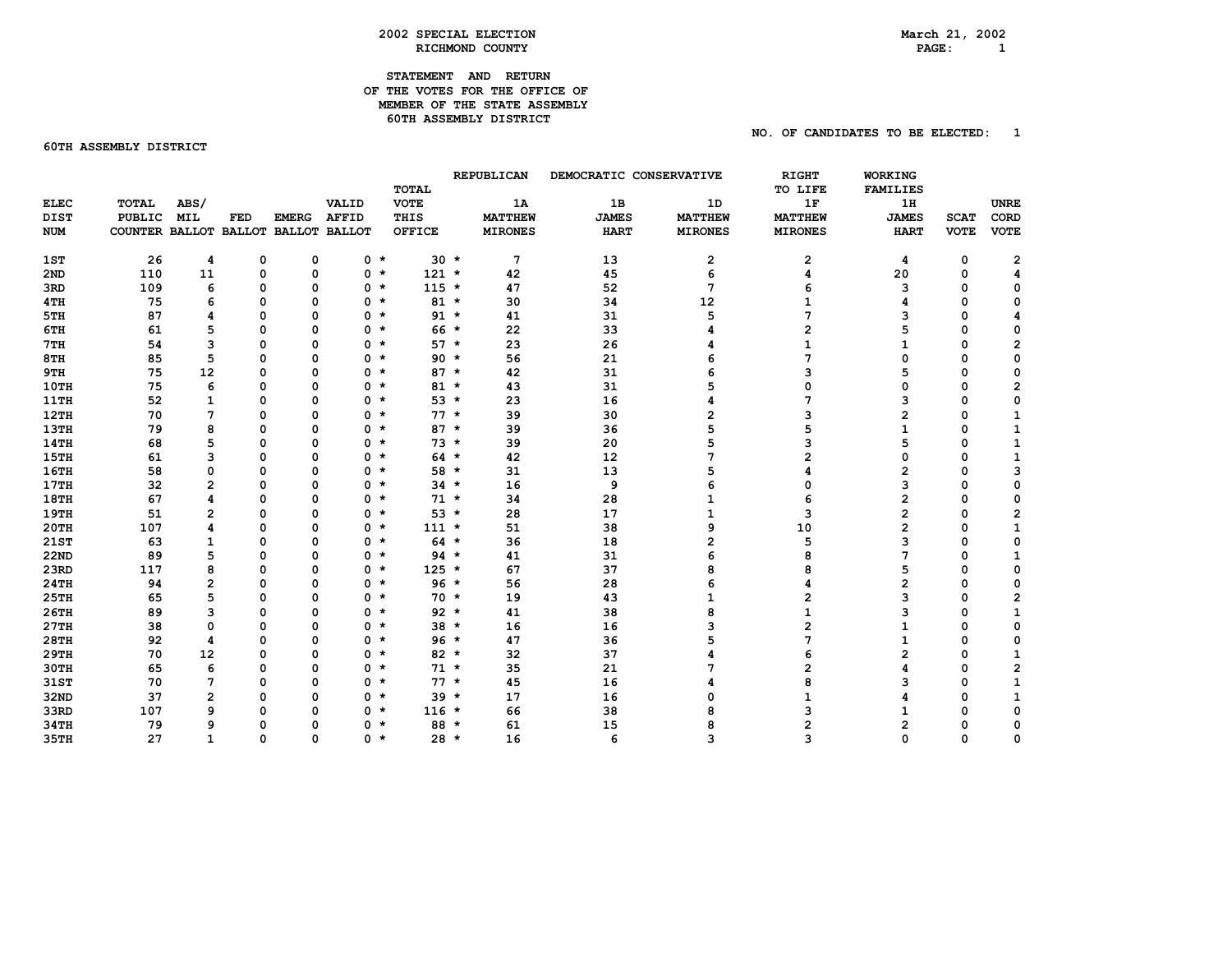## **STATEMENT AND RETURN OF THE VOTES FOR THE OFFICE OF MEMBER OF THE STATE ASSEMBLY 60TH ASSEMBLY DISTRICT**

**60TH ASSEMBLY DISTRICT** 

 $PAGE: 1$ 

 **NO. OF CANDIDATES TO BE ELECTED: 1** 

|             |                                     |                |          |              |              | <b>TOTAL</b>  |        | REPUBLICAN     | DEMOCRATIC CONSERVATIVE |                | <b>RIGHT</b><br>TO LIFE | <b>WORKING</b><br><b>FAMILIES</b> |             |                |  |
|-------------|-------------------------------------|----------------|----------|--------------|--------------|---------------|--------|----------------|-------------------------|----------------|-------------------------|-----------------------------------|-------------|----------------|--|
| <b>ELEC</b> | <b>TOTAL</b>                        | ABS/           |          |              | VALID        | <b>VOTE</b>   |        | 1A             | 1B                      | 1D             | 1F                      | 1H                                |             | <b>UNRE</b>    |  |
| <b>DIST</b> | <b>PUBLIC</b>                       | <b>MIL</b>     | FED      | <b>EMERG</b> | <b>AFFID</b> | THIS          |        | <b>MATTHEW</b> | <b>JAMES</b>            | <b>MATTHEW</b> | <b>MATTHEW</b>          | <b>JAMES</b>                      | <b>SCAT</b> | CORD           |  |
| <b>NUM</b>  | COUNTER BALLOT BALLOT BALLOT BALLOT |                |          |              |              | <b>OFFICE</b> |        | <b>MIRONES</b> | <b>HART</b>             | <b>MIRONES</b> | <b>MIRONES</b>          | <b>HART</b>                       | <b>VOTE</b> | <b>VOTE</b>    |  |
|             |                                     |                |          |              |              |               |        |                |                         |                |                         |                                   |             |                |  |
| 1ST         | 26                                  | 4              | 0        | 0            | 0 *          |               | $30 *$ | 7              | 13                      | $\mathbf{2}$   | 2                       | 4                                 | 0           | 2              |  |
| 2ND         | 110                                 | 11             | 0        | 0            | $0 *$        | $121 *$       |        | 42             | 45                      | 6              | 4                       | 20                                | 0           | 4              |  |
| 3RD         | 109                                 | 6              | 0        | 0            | $0 *$        | $115 *$       |        | 47             | 52                      | 7              | 6                       | 3                                 | $\mathbf 0$ | 0              |  |
| 4TH         | 75                                  | 6              | 0        | 0            | 0 *          |               | $81 *$ | 30             | 34                      | 12             |                         | 4                                 | $\mathbf 0$ | 0              |  |
| 5TH         | 87                                  | 4              | 0        | $\Omega$     | $0 *$        |               | $91 *$ | 41             | 31                      | 5              | 7                       | 3                                 | $\mathbf 0$ | 4              |  |
| 6TH         | 61                                  | 5              | 0        | $\Omega$     | $0 *$        |               | $66 *$ | 22             | 33                      |                | $\overline{2}$          | 5                                 | $\mathbf 0$ | 0              |  |
| 7TH         | 54                                  | 3              | 0        | $\Omega$     | 0 *          |               | $57 *$ | 23             | 26                      |                | $\mathbf{1}$            | 1                                 | $\mathbf 0$ | $\overline{2}$ |  |
| 8TH         | 85                                  | 5              | $\Omega$ | O            | $0 *$        |               | $90 *$ | 56             | 21                      | 6              | 7                       | 0                                 | $\mathbf 0$ | 0              |  |
| 9TH         | 75                                  | 12             | 0        | 0            | $0 *$        |               | $87 *$ | 42             | 31                      | 6              | 3                       | 5                                 | $\mathbf 0$ | 0              |  |
| 10TH        | 75                                  | 6              | 0        | 0            | $0 *$        |               | $81 *$ | 43             | 31                      | 5              | 0                       | 0                                 | $\mathbf 0$ | $\mathbf{2}$   |  |
| <b>11TH</b> | 52                                  | $\mathbf{1}$   | 0        | $\Omega$     | $0 *$        |               | $53 *$ | 23             | 16                      | 4              | 7                       | 3                                 | $\mathbf 0$ | 0              |  |
| 12TH        | 70                                  | 7              | 0        | $\Omega$     | $0 *$        |               | $77 *$ | 39             | 30                      | 2              | 3                       | 2                                 | $\mathbf 0$ | $\mathbf{1}$   |  |
| 13TH        | 79                                  | 8              | 0        | $\Omega$     | $0 *$        |               | $87 *$ | 39             | 36                      | 5              | 5                       | 1                                 | 0           | 1              |  |
| 14TH        | 68                                  | 5              | $\Omega$ | O            | 0 *          |               | $73 *$ | 39             | 20                      | 5              | 3                       | 5                                 | $\mathbf 0$ | 1              |  |
| <b>15TH</b> | 61                                  | 3              | $\Omega$ | O            | 0 *          |               | $64 *$ | 42             | 12                      | 7              | $\overline{2}$          | 0                                 | $\mathbf 0$ | $\mathbf{1}$   |  |
| 16TH        | 58                                  | 0              | 0        | 0            | $0 *$        |               | $58 *$ | 31             | 13                      | 5              | 4                       | 2                                 | $\mathbf 0$ | 3              |  |
| 17TH        | 32                                  | 2              | 0        | 0            | 0 *          |               | $34$ * | 16             | 9                       | 6              | $\mathbf 0$             | з                                 | $\mathbf 0$ | 0              |  |
| <b>18TH</b> | 67                                  | 4              | 0        | $\Omega$     | $0 *$        |               | $71 *$ | 34             | 28                      | 1              | 6                       | 2                                 | $\mathbf 0$ | 0              |  |
| <b>19TH</b> | 51                                  | 2              | 0        | $\Omega$     | $0 *$        |               | $53 *$ | 28             | 17                      | 1              | 3                       | 2                                 | $\mathbf 0$ | 2              |  |
| 20TH        | 107                                 | 4              | 0        | O            | 0 *          | $111 *$       |        | 51             | 38                      | 9              | 10                      | $\overline{2}$                    | $\mathbf 0$ | 1              |  |
| 21ST        | 63                                  | $\mathbf{1}$   | 0        | $\Omega$     | $0 *$        |               | $64 *$ | 36             | 18                      | $\overline{2}$ | 5                       | 3                                 | $\mathbf 0$ | 0              |  |
| <b>22ND</b> | 89                                  | 5              | 0        | $\Omega$     | $0 *$        |               | $94 *$ | 41             | 31                      | 6              | 8                       | 7                                 | $\mathbf 0$ | $\mathbf{1}$   |  |
| 23RD        | 117                                 | 8              | 0        | 0            | $0 *$        | $125 *$       |        | 67             | 37                      | 8              | 8                       | 5                                 | $\mathbf 0$ | 0              |  |
| 24TH        | 94                                  | 2              | $\Omega$ | $\Omega$     | $0 *$        |               | $96*$  | 56             | 28                      | 6              | 4                       | 2                                 | $\Omega$    | 0              |  |
| 25TH        | 65                                  | 5              | 0        | O            | $0 *$        |               | $70 *$ | 19             | 43                      | $\mathbf{1}$   | $\overline{2}$          | 3                                 | $\mathbf 0$ | $\mathbf{2}$   |  |
| 26TH        | 89                                  | 3              | $\Omega$ | O            | 0 *          |               | $92 *$ | 41             | 38                      | 8              | $\mathbf{1}$            | 3                                 | $\mathbf 0$ | $\mathbf{1}$   |  |
| 27TH        | 38                                  | 0              | $\Omega$ | O            | 0 *          |               | $38 *$ | 16             | 16                      | 3              | $\overline{\mathbf{c}}$ | 1                                 | $\mathbf 0$ | 0              |  |
| <b>28TH</b> | 92                                  | 4              | 0        | $\Omega$     | 0 *          |               | $96 *$ | 47             | 36                      | 5              | 7                       | 1                                 | $\mathbf 0$ | 0              |  |
| <b>29TH</b> | 70                                  | 12             | 0        | 0            | $0 *$        |               | $82 *$ | 32             | 37                      |                | 6                       | 2                                 | $\mathbf 0$ | $\mathbf{1}$   |  |
| <b>30TH</b> | 65                                  | 6              | 0        | $\Omega$     | $0 *$        |               | $71 *$ | 35             | 21                      |                | $\overline{2}$          | 4                                 | $\mathbf 0$ | $\mathbf{2}$   |  |
| 31ST        | 70                                  | 7              | 0        | O            | 0 *          |               | $77 *$ | 45             | 16                      |                | 8                       | 3                                 | $\mathbf 0$ | $\mathbf{1}$   |  |
| 32ND        | 37                                  | $\overline{2}$ | 0        | $\Omega$     | 0 *          |               | $39 *$ | 17             | 16                      | $\Omega$       | $\mathbf{1}$            | 4                                 | $\mathbf 0$ | 1              |  |
| 33RD        | 107                                 | 9              | 0        | O            | 0 *          | $116 *$       |        | 66             | 38                      | 8              | 3                       |                                   | $\mathbf 0$ | 0              |  |
| 34TH        | 79                                  | 9              | 0        | O            | $0 *$        |               | $88 *$ | 61             | 15                      | 8              | 2                       | 2                                 | $\mathbf 0$ | 0              |  |
| 35TH        | 27                                  | $\mathbf{1}$   | 0        | $\mathbf 0$  | $0 *$        |               | $28 *$ | 16             | 6                       | 3              | 3                       | 0                                 | $\mathbf 0$ | $\mathbf 0$    |  |
|             |                                     |                |          |              |              |               |        |                |                         |                |                         |                                   |             |                |  |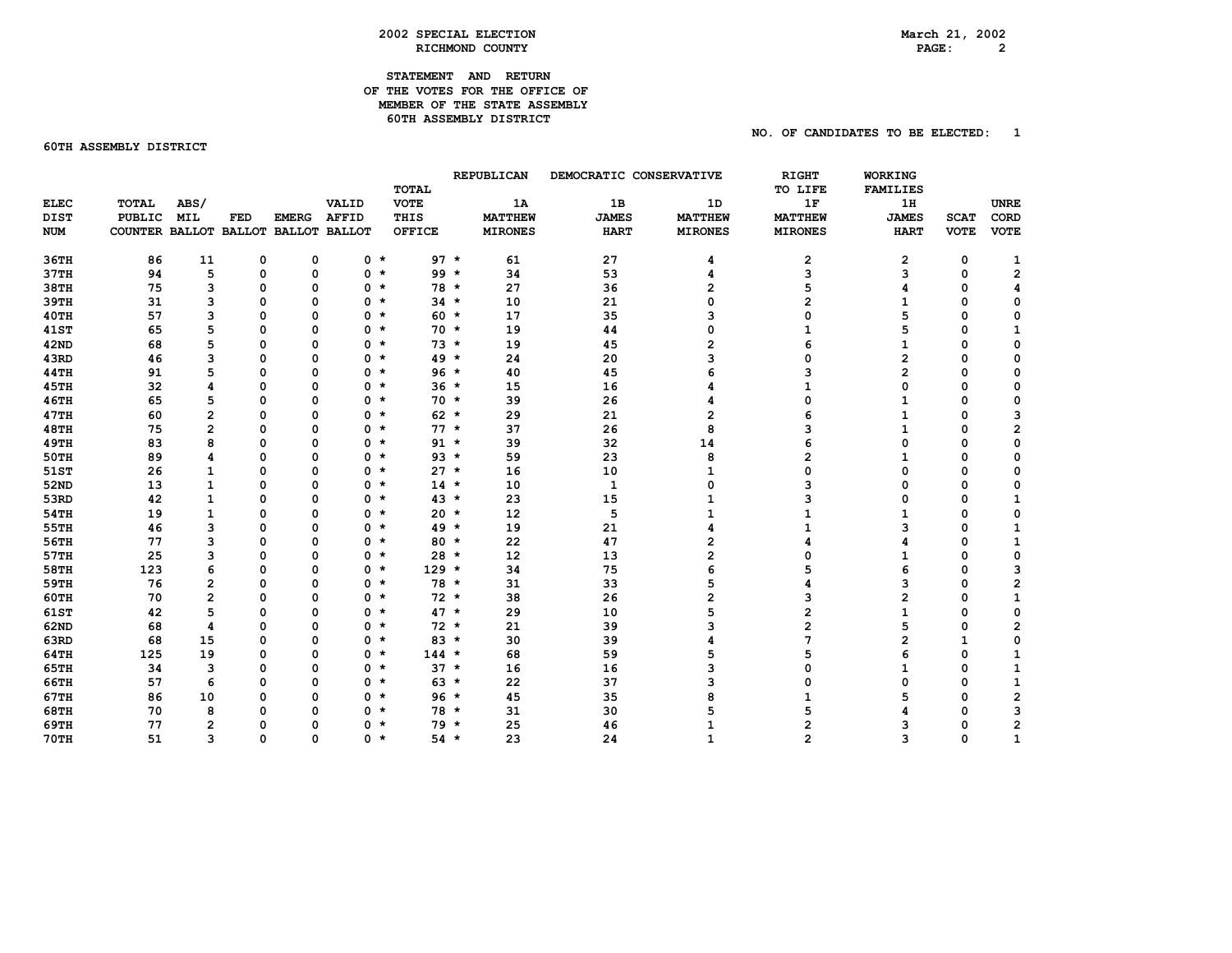## **STATEMENT AND RETURN OF THE VOTES FOR THE OFFICE OF MEMBER OF THE STATE ASSEMBLY 60TH ASSEMBLY DISTRICT**

**60TH ASSEMBLY DISTRICT** 

# **NO. OF CANDIDATES TO BE ELECTED: 1**

|             |                                     |                         |          |              |              |               |        | REPUBLICAN     | DEMOCRATIC CONSERVATIVE |                | <b>RIGHT</b>   | <b>WORKING</b>  |              |              |
|-------------|-------------------------------------|-------------------------|----------|--------------|--------------|---------------|--------|----------------|-------------------------|----------------|----------------|-----------------|--------------|--------------|
|             |                                     |                         |          |              |              | <b>TOTAL</b>  |        |                |                         |                | TO LIFE        | <b>FAMILIES</b> |              |              |
| <b>ELEC</b> | <b>TOTAL</b>                        | ABS/                    |          |              | VALID        | <b>VOTE</b>   |        | 1A             | 1B                      | 1D             | 1F             | 1H              |              | <b>UNRE</b>  |
| <b>DIST</b> | <b>PUBLIC</b>                       | <b>MIL</b>              | FED      | <b>EMERG</b> | <b>AFFID</b> | THIS          |        | <b>MATTHEW</b> | <b>JAMES</b>            | <b>MATTHEW</b> | <b>MATTHEW</b> | <b>JAMES</b>    | <b>SCAT</b>  | CORD         |
| <b>NUM</b>  | COUNTER BALLOT BALLOT BALLOT BALLOT |                         |          |              |              | <b>OFFICE</b> |        | <b>MIRONES</b> | <b>HART</b>             | <b>MIRONES</b> | <b>MIRONES</b> | <b>HART</b>     | <b>VOTE</b>  | <b>VOTE</b>  |
| 36TH        | 86                                  | 11                      | 0        | 0            | $0 *$        |               | $97 *$ | 61             | 27                      | 4              | 2              | 2               | 0            | 1            |
| 37TH        | 94                                  | 5                       | 0        | 0            | $0 *$        |               | $99 *$ | 34             | 53                      | 4              | 3              | 3               | $\mathbf 0$  | $\mathbf 2$  |
| 38TH        | 75                                  | 3                       | 0        | $\Omega$     | $0 *$        |               | $78 *$ | 27             | 36                      | 2              |                | 4               | $\mathbf 0$  | 4            |
| 39TH        | 31                                  | 3                       | 0        | $\Omega$     | $0 *$        |               | $34 *$ | 10             | 21                      | 0              | 2              | 1               | $\mathbf 0$  | 0            |
| <b>40TH</b> | 57                                  | з                       | 0        | $\Omega$     | $0 *$        |               | $60 *$ | 17             | 35                      | 3              | 0              | 5               | $\mathbf 0$  | 0            |
| <b>41ST</b> | 65                                  | 5                       | 0        | $\Omega$     | $0 *$        |               | $70 *$ | 19             | 44                      | 0              | 1              | 5               | $\mathbf 0$  | 1            |
| <b>42ND</b> | 68                                  | 5                       | 0        | $\Omega$     | $0 *$        |               | $73 *$ | 19             | 45                      | 2              | 6              | 1               | $\mathbf 0$  | 0            |
| 43RD        | 46                                  | 3                       | $\Omega$ | $\Omega$     | $0 *$        |               | $49 *$ | 24             | 20                      | 3              | 0              | 2               | $\mathbf 0$  | 0            |
| 44TH        | 91                                  | 5                       | 0        | O            | $0 *$        |               | $96 *$ | 40             | 45                      | 6              | з              | $\overline{2}$  | $\mathbf 0$  | 0            |
| 45TH        | 32                                  | 4                       | 0        | $\Omega$     | $0 *$        |               | $36 *$ | 15             | 16                      | 4              | 1              | 0               | $\mathbf 0$  | 0            |
| 46TH        | 65                                  | 5                       | 0        | $\Omega$     | $0 *$        |               | $70 *$ | 39             | 26                      | 4              | 0              | $\mathbf{1}$    | $\mathbf 0$  | 0            |
| 47TH        | 60                                  | $\overline{\mathbf{c}}$ | 0        | O            | $0 *$        |               | $62 *$ | 29             | 21                      | 2              |                | $\mathbf{1}$    | $\mathbf 0$  | 3            |
| <b>48TH</b> | 75                                  | 2                       | 0        | O            | $0 *$        |               | $77 *$ | 37             | 26                      | 8              | ٩              | 1               | $\mathbf 0$  | 2            |
| <b>49TH</b> | 83                                  | 8                       | 0        | n            | $0 *$        |               | $91 *$ | 39             | 32                      | 14             | 6              | $\Omega$        | $\mathbf 0$  | 0            |
| 50TH        | 89                                  | 4                       | 0        | O            | $0 *$        |               | $93 *$ | 59             | 23                      | 8              | $\overline{2}$ | 1               | $\mathbf 0$  | $\mathbf 0$  |
| 51ST        | 26                                  | 1                       | 0        | O            | $0 *$        |               | $27 *$ | 16             | 10                      | 1              | O              | $\Omega$        | $\mathbf 0$  | 0            |
| 52ND        | 13                                  | 1                       | 0        | Ω            | $0 *$        |               | $14 *$ | 10             | 1                       | 0              | 3              | 0               | $\mathbf 0$  | 0            |
| 53RD        | 42                                  | 1                       | 0        | $\Omega$     | $0 *$        |               | $43*$  | 23             | 15                      | 1              |                | 0               | $\mathbf 0$  | $\mathbf{1}$ |
| 54TH        | 19                                  | $\mathbf{1}$            | 0        | $\Omega$     | $0 *$        |               | $20 *$ | 12             | 5                       | 1              |                | $\mathbf{1}$    | $\mathbf 0$  | 0            |
| 55TH        | 46                                  | 3                       | 0        | $\Omega$     | $0 *$        |               | $49 *$ | 19             | 21                      | 4              | 1              | 3               | $\mathbf 0$  | 1            |
| 56TH        | 77                                  | 3                       | 0        | O            | $0 *$        |               | 80 *   | 22             | 47                      | 2              | 4              | 4               | $\mathbf 0$  | 1            |
| 57TH        | 25                                  | 3                       | 0        | $\Omega$     | $0 *$        |               | $28 *$ | 12             | 13                      | $\overline{2}$ | 0              | 1               | $\mathbf 0$  | 0            |
| 58TH        | 123                                 | 6                       | 0        | 0            | $0 *$        | $129 *$       |        | 34             | 75                      | 6              | 5              | 6               | $\mathbf 0$  | 3            |
| 59TH        | 76                                  | 2                       | 0        | $\Omega$     | $0$ $*$      |               | $78 *$ | 31             | 33                      | 5              | 4              | 3               | $\mathbf 0$  | $\mathbf 2$  |
| <b>60TH</b> | 70                                  | 2                       | 0        | $\Omega$     | $0 *$        |               | $72 *$ | 38             | 26                      | 2              | 3              | $\overline{2}$  | $\mathbf 0$  | $\mathbf{1}$ |
| 61ST        | 42                                  | 5                       | 0        | n            | $0 *$        |               | $47 *$ | 29             | 10                      | 5              | 2              | 1               | $\mathbf 0$  | 0            |
| 62ND        | 68                                  | 4                       | 0        | n            | $0 *$        |               | $72 *$ | 21             | 39                      | 3              | 2              | 5               | $\mathbf 0$  | 2            |
| 63RD        | 68                                  | 15                      | 0        | O            | $0 *$        |               | $83 *$ | 30             | 39                      | 4              | 7              | 2               | $\mathbf{1}$ | 0            |
| 64TH        | 125                                 | 19                      | 0        | 0            | $0 *$        | $144 *$       |        | 68             | 59                      | 5              | 5              | 6               | $\mathbf 0$  | $\mathbf{1}$ |
| 65TH        | 34                                  | 3                       | 0        | $\Omega$     | $0 *$        |               | $37 *$ | 16             | 16                      | 3              | 0              | 1               | $\mathbf 0$  | $\mathbf{1}$ |
| 66TH        | 57                                  | 6                       | 0        | $\Omega$     | $0 *$        |               | $63 *$ | 22             | 37                      | 3              | 0              | 0               | $\mathbf 0$  | 1            |
| 67TH        | 86                                  | 10                      | 0        | O            | $0 *$        |               | $96 *$ | 45             | 35                      | 8              | 1              | 5               | $\mathbf 0$  | 2            |
| <b>68TH</b> | 70                                  | 8                       | 0        |              | $0 *$        |               | $78 *$ | 31             | 30                      | 5              | 5              |                 | $\mathbf 0$  | 3            |
| 69TH        | 77                                  | $\overline{2}$          | 0        | n            | 0            | $\star$       | 79 *   | 25             | 46                      | 1              | 2              | з               | $\mathbf 0$  | $\mathbf 2$  |
| <b>70TH</b> | 51                                  | 3                       | 0        | $\Omega$     | $0 *$        |               | $54$ * | 23             | 24                      | $\mathbf{1}$   | $\overline{2}$ | 3               | $\mathbf 0$  | $\mathbf{1}$ |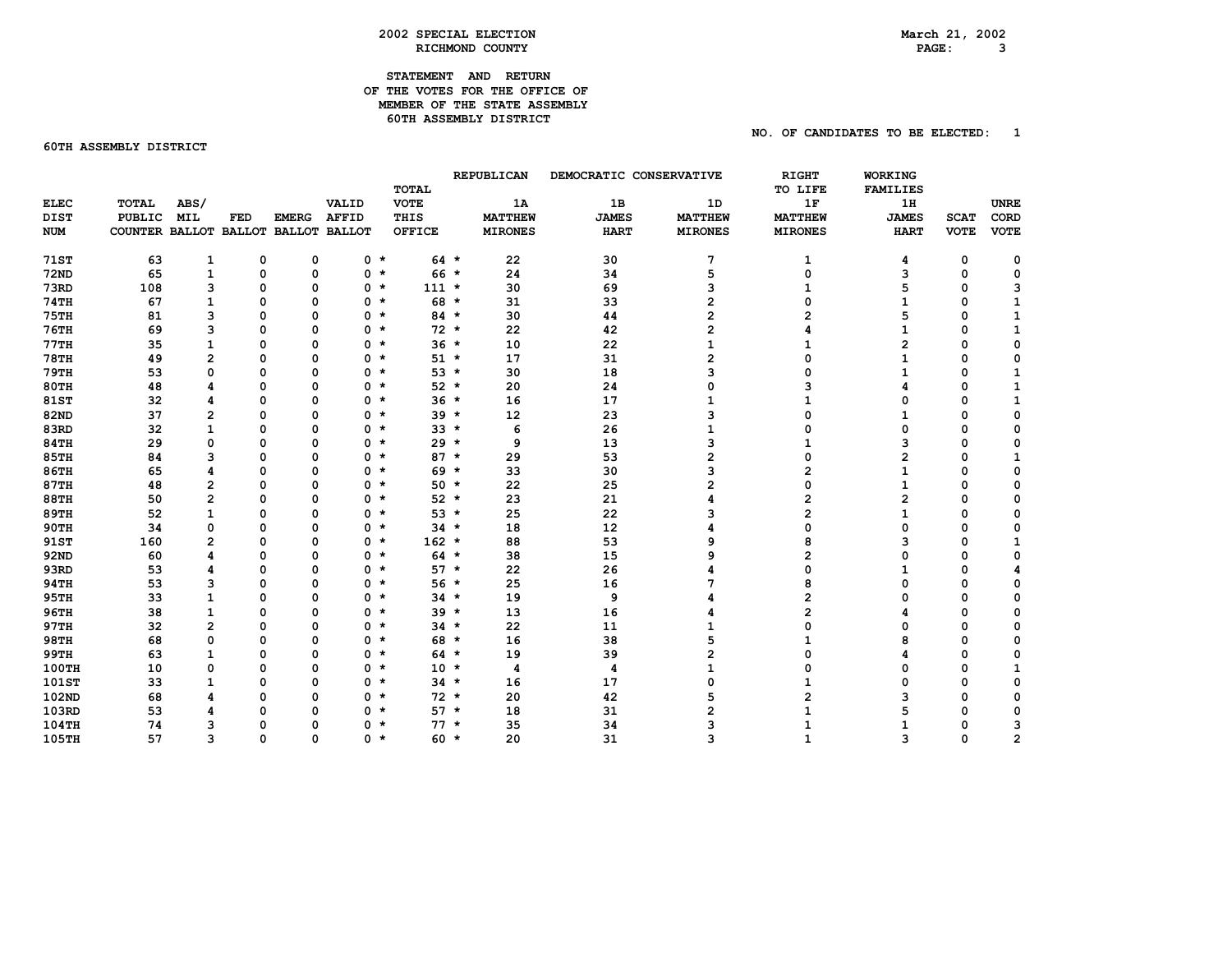## **STATEMENT AND RETURN OF THE VOTES FOR THE OFFICE OF MEMBER OF THE STATE ASSEMBLY 60TH ASSEMBLY DISTRICT**

**60TH ASSEMBLY DISTRICT** 

## **NO. OF CANDIDATES TO BE ELECTED: 1**

|              |                                     |                         |          |              |                | <b>TOTAL</b>  |      | <b>REPUBLICAN</b> |              | DEMOCRATIC CONSERVATIVE | RIGHT<br>TO LIFE | WORKING<br><b>FAMILIES</b> |             |                |  |
|--------------|-------------------------------------|-------------------------|----------|--------------|----------------|---------------|------|-------------------|--------------|-------------------------|------------------|----------------------------|-------------|----------------|--|
| <b>ELEC</b>  | <b>TOTAL</b>                        | ABS/                    |          |              | VALID          | <b>VOTE</b>   |      | 1A                | 1B           | 1D                      | 1F               | 1H                         |             | <b>UNRE</b>    |  |
| <b>DIST</b>  | PUBLIC                              | <b>MIL</b>              | FED      | <b>EMERG</b> | <b>AFFID</b>   | THIS          |      | <b>MATTHEW</b>    | <b>JAMES</b> | <b>MATTHEW</b>          | <b>MATTHEW</b>   | <b>JAMES</b>               | <b>SCAT</b> | <b>CORD</b>    |  |
| <b>NUM</b>   | COUNTER BALLOT BALLOT BALLOT BALLOT |                         |          |              |                | <b>OFFICE</b> |      | <b>MIRONES</b>    | <b>HART</b>  | <b>MIRONES</b>          | <b>MIRONES</b>   | <b>HART</b>                | <b>VOTE</b> | <b>VOTE</b>    |  |
|              |                                     |                         |          |              |                |               |      |                   |              |                         |                  |                            |             |                |  |
| <b>71ST</b>  | 63                                  | 1                       | 0        | 0            | $0 *$          | $64 *$        |      | 22                | 30           | 7                       | 1                | 4                          | 0           | 0              |  |
| <b>72ND</b>  | 65                                  | 1                       | 0        | 0            | $0 *$          | $66 *$        |      | 24                | 34           | 5                       | $\Omega$         | 3                          | $\mathbf 0$ | $\mathbf 0$    |  |
| <b>73RD</b>  | 108                                 | з                       | 0        | 0            | $0 *$          | $111 *$       |      | 30                | 69           | з                       | 1                | 5                          | $\mathbf 0$ | з              |  |
| <b>74TH</b>  | 67                                  | $\mathbf{1}$            | 0        | 0            | $0 *$          | 68 *          |      | 31                | 33           | 2                       | O                | $\mathbf{1}$               | $\mathbf 0$ | $\mathbf{1}$   |  |
| 75TH         | 81                                  | 3                       | 0        | $\Omega$     | $0 *$          | $84 *$        |      | 30                | 44           | 2                       |                  | 5                          | $\mathbf 0$ | 1              |  |
| <b>76TH</b>  | 69                                  | 3                       | 0        | $\Omega$     | $0+$           | $72 *$        |      | 22                | 42           | 2                       |                  | 1                          | $\mathbf 0$ | 1              |  |
| 77TH         | 35                                  | 1                       | 0        | $\Omega$     | $0 *$          | $36 *$        |      | 10                | 22           | 1                       | 1                | $\overline{2}$             | $\mathbf 0$ | 0              |  |
| <b>78TH</b>  | 49                                  | 2                       | 0        | 0            | $0 *$          |               | 51 * | 17                | 31           | 2                       | 0                | 1                          | $\mathbf 0$ | 0              |  |
| <b>79TH</b>  | 53                                  | 0                       | 0        | 0            | $0 *$          | $53 *$        |      | 30                | 18           | 3                       | 0                | 1                          | $\mathbf 0$ | 1              |  |
| 80TH         | 48                                  | 4                       | 0        | 0            | $0 *$          | $52 *$        |      | 20                | 24           | 0                       | 3                | 4                          | $\mathbf 0$ | ${\bf 1}$      |  |
| <b>81ST</b>  | 32                                  | 4                       | 0        | $\Omega$     | $0 *$          | $36 *$        |      | 16                | 17           | $\mathbf{1}$            | 1                | 0                          | $\mathbf 0$ | 1              |  |
| 82ND         | 37                                  | $\overline{2}$          | 0        | $\Omega$     | $0 *$          | $39 *$        |      | 12                | 23           | 3                       | 0                | 1                          | $\mathbf 0$ | 0              |  |
| 83RD         | 32                                  | 1                       | 0        | $\Omega$     | 0 *            | $33 *$        |      | 6                 | 26           | $\mathbf{1}$            | 0                | 0                          | $\mathbf 0$ | 0              |  |
| <b>84TH</b>  | 29                                  | 0                       | $\Omega$ | $\Omega$     | 0 *            | $29 *$        |      | 9                 | 13           | 3                       | $\mathbf{1}$     | 3                          | $\mathbf 0$ | 0              |  |
| <b>85TH</b>  | 84                                  | 3                       | 0        | $\Omega$     | $0 *$          | $87 *$        |      | 29                | 53           | $\overline{2}$          | 0                | 2                          | 0           | 1              |  |
| <b>86TH</b>  | 65                                  | 4                       | 0        | $\Omega$     | 0 *            | $69 *$        |      | 33                | 30           | 3                       | 2                | 1                          | $\mathbf 0$ | 0              |  |
| <b>87TH</b>  | 48                                  | $\overline{\mathbf{c}}$ | 0        | $\Omega$     | $0 *$          | $50 *$        |      | 22                | 25           | 2                       | 0                | $\mathbf{1}$               | $\mathbf 0$ | 0              |  |
| <b>88TH</b>  | 50                                  | 2                       | 0        | $\Omega$     | $0 *$          | $52 *$        |      | 23                | 21           | 4                       | 2                | $\overline{2}$             | 0           | 0              |  |
| <b>89TH</b>  | 52                                  | 1                       | 0        | $\Omega$     | $0 *$          | $53 *$        |      | 25                | 22           | 3                       | $\overline{2}$   | $\mathbf{1}$               | 0           | 0              |  |
| <b>90TH</b>  | 34                                  | 0                       | $\Omega$ | $\Omega$     | $0 *$          | $34 *$        |      | 18                | 12           | 4                       | 0                | $\mathbf 0$                | $\mathbf 0$ | 0              |  |
| 91ST         | 160                                 | $\overline{2}$          | 0        | O            | $0 *$          | $162 *$       |      | 88                | 53           | 9                       | 8                | 3                          | $\mathbf 0$ | $\mathbf{1}$   |  |
| 92ND         | 60                                  | 4                       | 0        | 0            | $0 *$          | $64 *$        |      | 38                | 15           | 9                       | $\overline{2}$   | 0                          | $\mathbf 0$ | $\mathbf 0$    |  |
| 93RD         | 53                                  | 4                       | 0        | $\Omega$     | $0 *$          | $57 *$        |      | 22                | 26           | 4                       | 0                | $\mathbf{1}$               | $\mathbf 0$ | 4              |  |
| 94TH         | 53                                  | з                       | 0        | O            | $0 *$          | $56 *$        |      | 25                | 16           | 7                       | 8                | $\Omega$                   | 0           | 0              |  |
| 95TH         | 33                                  | 1                       | 0        | $\Omega$     | $0 *$          | $34$ *        |      | 19                | 9            | 4                       | 2                | $\Omega$                   | 0           | 0              |  |
| 96TH         | 38                                  | $\mathbf{1}$            | $\Omega$ | $\Omega$     | 0 <sub>h</sub> | $39 *$        |      | 13                | 16           | 4                       | $\overline{2}$   |                            | $\mathbf 0$ | 0              |  |
| 97TH         | 32                                  | 2                       | $\Omega$ | O            | 0 *            | $34 *$        |      | 22                | 11           | 1                       | O                | O                          | $\mathbf 0$ | 0              |  |
| <b>98TH</b>  | 68                                  | 0                       | 0        | $\Omega$     | $0 *$          | 68 *          |      | 16                | 38           | 5                       | 1                | 8                          | $\mathbf 0$ | $\mathbf 0$    |  |
| <b>99TH</b>  | 63                                  | $\mathbf{1}$            | 0        | $\Omega$     | $0 *$          | $64$ *        |      | 19                | 39           | 2                       | 0                |                            | $\mathbf 0$ | 0              |  |
| <b>100TH</b> | 10                                  | 0                       | 0        | $\Omega$     | 0 *            | $10 *$        |      | 4                 | 4            | 1                       | O                | $\Omega$                   | $\mathbf 0$ | $\mathbf 1$    |  |
| <b>101ST</b> | 33                                  | 1                       | 0        | $\Omega$     | $0 *$          | $34$ *        |      | 16                | 17           | 0                       | 1                | 0                          | $\mathbf 0$ | 0              |  |
| 102ND        | 68                                  | 4                       | 0        | $\Omega$     | $0 *$          | $72 *$        |      | 20                | 42           | 5                       | $\overline{2}$   | 3                          | $\mathbf 0$ | 0              |  |
| 103RD        | 53                                  | 4                       | 0        |              | $0 *$          | $57 *$        |      | 18                | 31           | $\overline{2}$          |                  | 5                          | $\mathbf 0$ | 0              |  |
| 104TH        | 74                                  | 3                       | 0        | n            | $0 *$          | $77 *$        |      | 35                | 34           | 3                       |                  | 1                          | $\mathbf 0$ | 3              |  |
| <b>105TH</b> | 57                                  | 3                       | 0        | $\Omega$     | $0 *$          | $60 *$        |      | 20                | 31           | 3                       | 1                | 3                          | $\mathbf 0$ | $\overline{2}$ |  |